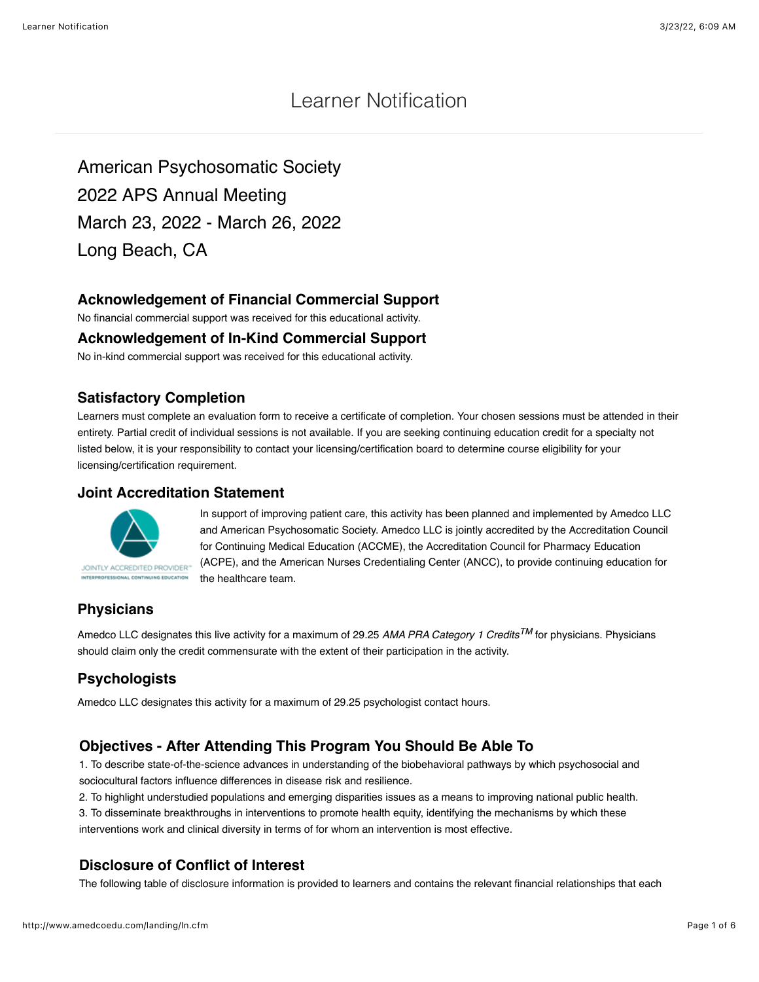# Learner Notification

American Psychosomatic Society 2022 APS Annual Meeting March 23, 2022 - March 26, 2022 Long Beach, CA

### **Acknowledgement of Financial Commercial Support**

No financial commercial support was received for this educational activity.

#### **Acknowledgement of In-Kind Commercial Support**

No in-kind commercial support was received for this educational activity.

#### **Satisfactory Completion**

Learners must complete an evaluation form to receive a certificate of completion. Your chosen sessions must be attended in their entirety. Partial credit of individual sessions is not available. If you are seeking continuing education credit for a specialty not listed below, it is your responsibility to contact your licensing/certification board to determine course eligibility for your licensing/certification requirement.

#### **Joint Accreditation Statement**



In support of improving patient care, this activity has been planned and implemented by Amedco LLC and American Psychosomatic Society. Amedco LLC is jointly accredited by the Accreditation Council for Continuing Medical Education (ACCME), the Accreditation Council for Pharmacy Education (ACPE), and the American Nurses Credentialing Center (ANCC), to provide continuing education for the healthcare team.

# **Physicians**

Amedco LLC designates this live activity for a maximum of 29.25 *AMA PRA Category 1 CreditsTM* for physicians. Physicians should claim only the credit commensurate with the extent of their participation in the activity.

# **Psychologists**

Amedco LLC designates this activity for a maximum of 29.25 psychologist contact hours.

# **Objectives - After Attending This Program You Should Be Able To**

1. To describe state-of-the-science advances in understanding of the biobehavioral pathways by which psychosocial and sociocultural factors influence differences in disease risk and resilience.

2. To highlight understudied populations and emerging disparities issues as a means to improving national public health.

3. To disseminate breakthroughs in interventions to promote health equity, identifying the mechanisms by which these interventions work and clinical diversity in terms of for whom an intervention is most effective.

### **Disclosure of Conflict of Interest**

The following table of disclosure information is provided to learners and contains the relevant financial relationships that each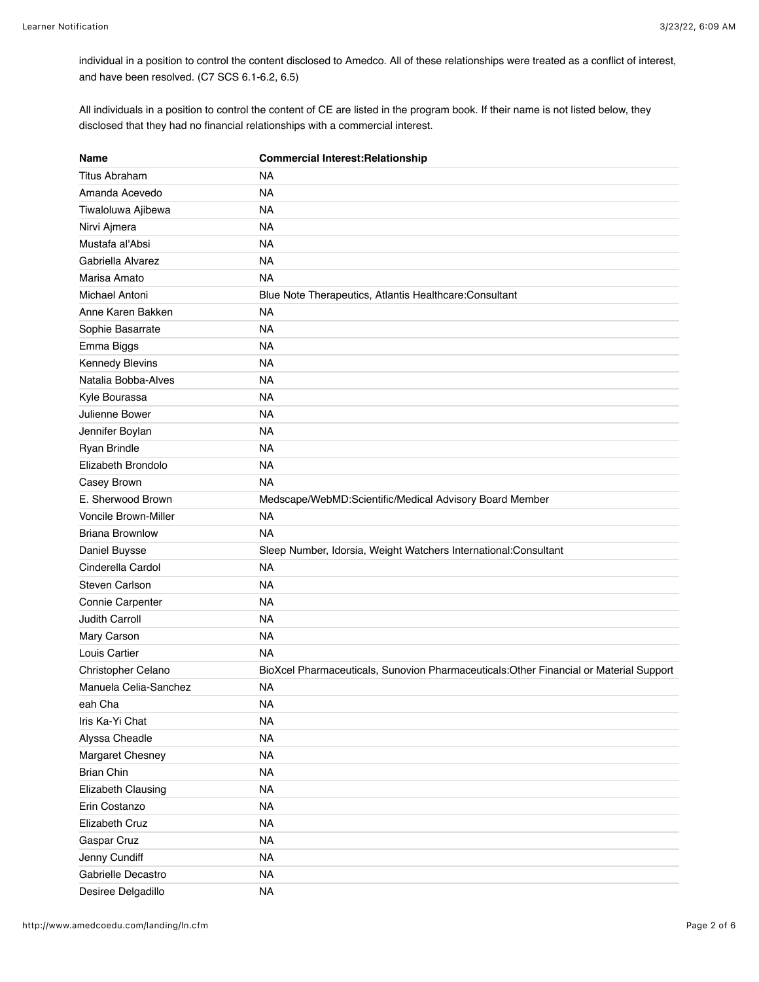individual in a position to control the content disclosed to Amedco. All of these relationships were treated as a conflict of interest, and have been resolved. (C7 SCS 6.1-6.2, 6.5)

All individuals in a position to control the content of CE are listed in the program book. If their name is not listed below, they disclosed that they had no financial relationships with a commercial interest.

| Name                        | <b>Commercial Interest: Relationship</b>                                               |
|-----------------------------|----------------------------------------------------------------------------------------|
| Titus Abraham               | <b>NA</b>                                                                              |
| Amanda Acevedo              | <b>NA</b>                                                                              |
| Tiwaloluwa Ajibewa          | <b>NA</b>                                                                              |
| Nirvi Ajmera                | <b>NA</b>                                                                              |
| Mustafa al'Absi             | <b>NA</b>                                                                              |
| Gabriella Alvarez           | <b>NA</b>                                                                              |
| Marisa Amato                | <b>NA</b>                                                                              |
| Michael Antoni              | Blue Note Therapeutics, Atlantis Healthcare: Consultant                                |
| Anne Karen Bakken           | <b>NA</b>                                                                              |
| Sophie Basarrate            | <b>NA</b>                                                                              |
| Emma Biggs                  | <b>NA</b>                                                                              |
| <b>Kennedy Blevins</b>      | <b>NA</b>                                                                              |
| Natalia Bobba-Alves         | <b>NA</b>                                                                              |
| Kyle Bourassa               | <b>NA</b>                                                                              |
| Julienne Bower              | <b>NA</b>                                                                              |
| Jennifer Boylan             | <b>NA</b>                                                                              |
| Ryan Brindle                | <b>NA</b>                                                                              |
| Elizabeth Brondolo          | <b>NA</b>                                                                              |
| Casey Brown                 | <b>NA</b>                                                                              |
| E. Sherwood Brown           | Medscape/WebMD:Scientific/Medical Advisory Board Member                                |
| <b>Voncile Brown-Miller</b> | <b>NA</b>                                                                              |
| <b>Briana Brownlow</b>      | <b>NA</b>                                                                              |
| Daniel Buysse               | Sleep Number, Idorsia, Weight Watchers International:Consultant                        |
| Cinderella Cardol           | <b>NA</b>                                                                              |
| Steven Carlson              | <b>NA</b>                                                                              |
| Connie Carpenter            | <b>NA</b>                                                                              |
| Judith Carroll              | <b>NA</b>                                                                              |
| Mary Carson                 | <b>NA</b>                                                                              |
| Louis Cartier               | <b>NA</b>                                                                              |
| Christopher Celano          | BioXcel Pharmaceuticals, Sunovion Pharmaceuticals: Other Financial or Material Support |
| Manuela Celia-Sanchez       | <b>NA</b>                                                                              |
| eah Cha                     | NA                                                                                     |
| Iris Ka-Yi Chat             | <b>NA</b>                                                                              |
| Alyssa Cheadle              | <b>NA</b>                                                                              |
| Margaret Chesney            | <b>NA</b>                                                                              |
| <b>Brian Chin</b>           | <b>NA</b>                                                                              |
| Elizabeth Clausing          | <b>NA</b>                                                                              |
| Erin Costanzo               | <b>NA</b>                                                                              |
| Elizabeth Cruz              | <b>NA</b>                                                                              |
| Gaspar Cruz                 | <b>NA</b>                                                                              |
| Jenny Cundiff               | <b>NA</b>                                                                              |
| Gabrielle Decastro          | <b>NA</b>                                                                              |
| Desiree Delgadillo          | <b>NA</b>                                                                              |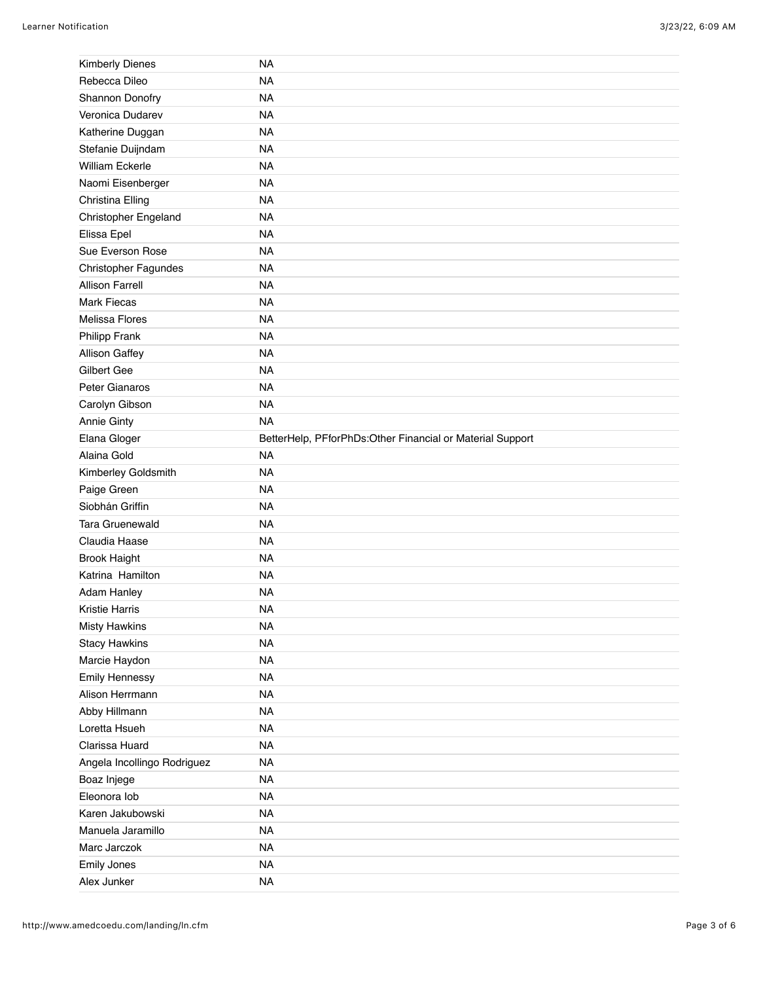| <b>Kimberly Dienes</b>      | <b>NA</b>                                                 |
|-----------------------------|-----------------------------------------------------------|
| Rebecca Dileo               | <b>NA</b>                                                 |
| Shannon Donofry             | <b>NA</b>                                                 |
| Veronica Dudarev            | <b>NA</b>                                                 |
| Katherine Duggan            | <b>NA</b>                                                 |
| Stefanie Duijndam           | <b>NA</b>                                                 |
| <b>William Eckerle</b>      | <b>NA</b>                                                 |
| Naomi Eisenberger           | <b>NA</b>                                                 |
| Christina Elling            | <b>NA</b>                                                 |
| Christopher Engeland        | <b>NA</b>                                                 |
| Elissa Epel                 | <b>NA</b>                                                 |
| Sue Everson Rose            | <b>NA</b>                                                 |
| Christopher Fagundes        | <b>NA</b>                                                 |
| <b>Allison Farrell</b>      | <b>NA</b>                                                 |
| <b>Mark Fiecas</b>          | <b>NA</b>                                                 |
| <b>Melissa Flores</b>       | <b>NA</b>                                                 |
| Philipp Frank               | <b>NA</b>                                                 |
| Allison Gaffey              | <b>NA</b>                                                 |
| Gilbert Gee                 | <b>NA</b>                                                 |
| Peter Gianaros              | <b>NA</b>                                                 |
| Carolyn Gibson              | <b>NA</b>                                                 |
| Annie Ginty                 | <b>NA</b>                                                 |
| Elana Gloger                | BetterHelp, PFforPhDs:Other Financial or Material Support |
| Alaina Gold                 | <b>NA</b>                                                 |
|                             |                                                           |
| Kimberley Goldsmith         | <b>NA</b>                                                 |
| Paige Green                 | <b>NA</b>                                                 |
| Siobhán Griffin             | <b>NA</b>                                                 |
| <b>Tara Gruenewald</b>      | <b>NA</b>                                                 |
| Claudia Haase               | <b>NA</b>                                                 |
| <b>Brook Haight</b>         | <b>NA</b>                                                 |
| Katrina Hamilton            | <b>NA</b>                                                 |
| Adam Hanley                 | <b>NA</b>                                                 |
| Kristie Harris              | <b>NA</b>                                                 |
| <b>Misty Hawkins</b>        | <b>NA</b>                                                 |
| <b>Stacy Hawkins</b>        | <b>NA</b>                                                 |
| Marcie Haydon               | <b>NA</b>                                                 |
| Emily Hennessy              | <b>NA</b>                                                 |
| Alison Herrmann             | <b>NA</b>                                                 |
| Abby Hillmann               | <b>NA</b>                                                 |
| Loretta Hsueh               | <b>NA</b>                                                 |
| Clarissa Huard              | <b>NA</b>                                                 |
| Angela Incollingo Rodriguez | <b>NA</b>                                                 |
| Boaz Injege                 | <b>NA</b>                                                 |
| Eleonora lob                | <b>NA</b>                                                 |
| Karen Jakubowski            | <b>NA</b>                                                 |
| Manuela Jaramillo           | <b>NA</b>                                                 |
| Marc Jarczok                | <b>NA</b>                                                 |
| Emily Jones<br>Alex Junker  | <b>NA</b><br><b>NA</b>                                    |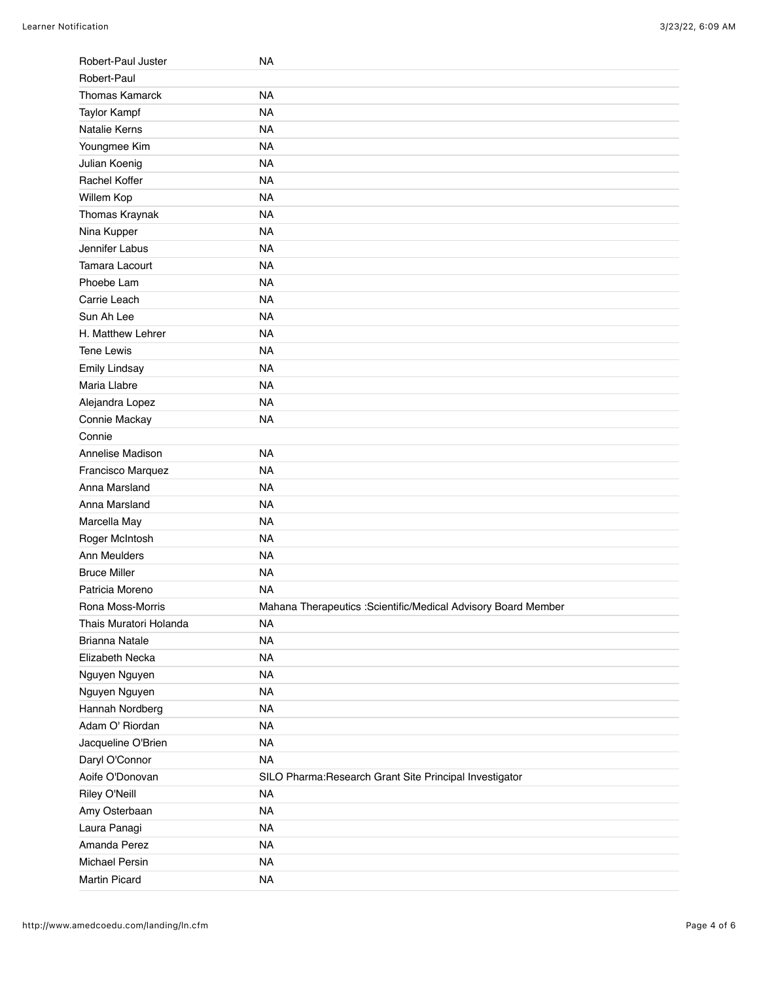| Robert-Paul Juster     | NA                                                             |
|------------------------|----------------------------------------------------------------|
| Robert-Paul            |                                                                |
| <b>Thomas Kamarck</b>  | <b>NA</b>                                                      |
| <b>Taylor Kampf</b>    | <b>NA</b>                                                      |
| Natalie Kerns          | <b>NA</b>                                                      |
| Youngmee Kim           | <b>NA</b>                                                      |
| Julian Koenig          | <b>NA</b>                                                      |
| Rachel Koffer          | <b>NA</b>                                                      |
| Willem Kop             | <b>NA</b>                                                      |
| Thomas Kraynak         | <b>NA</b>                                                      |
| Nina Kupper            | <b>NA</b>                                                      |
| Jennifer Labus         | <b>NA</b>                                                      |
| <b>Tamara Lacourt</b>  | <b>NA</b>                                                      |
| Phoebe Lam             | <b>NA</b>                                                      |
| Carrie Leach           | <b>NA</b>                                                      |
| Sun Ah Lee             | <b>NA</b>                                                      |
| H. Matthew Lehrer      | <b>NA</b>                                                      |
| <b>Tene Lewis</b>      | <b>NA</b>                                                      |
| <b>Emily Lindsay</b>   | <b>NA</b>                                                      |
| Maria Llabre           | <b>NA</b>                                                      |
| Alejandra Lopez        | <b>NA</b>                                                      |
| Connie Mackay          | <b>NA</b>                                                      |
| Connie                 |                                                                |
| Annelise Madison       | <b>NA</b>                                                      |
| Francisco Marquez      | <b>NA</b>                                                      |
| Anna Marsland          | <b>NA</b>                                                      |
| Anna Marsland          | <b>NA</b>                                                      |
| Marcella May           | <b>NA</b>                                                      |
| Roger McIntosh         | <b>NA</b>                                                      |
| Ann Meulders           | <b>NA</b>                                                      |
| <b>Bruce Miller</b>    | <b>NA</b>                                                      |
| Patricia Moreno        | <b>NA</b>                                                      |
| Rona Moss-Morris       | Mahana Therapeutics : Scientific/Medical Advisory Board Member |
| Thais Muratori Holanda | <b>NA</b>                                                      |
| <b>Brianna Natale</b>  | <b>NA</b>                                                      |
| Elizabeth Necka        | <b>NA</b>                                                      |
| Nguyen Nguyen          | <b>NA</b>                                                      |
| Nguyen Nguyen          | <b>NA</b>                                                      |
| Hannah Nordberg        | <b>NA</b>                                                      |
| Adam O' Riordan        | <b>NA</b>                                                      |
| Jacqueline O'Brien     | <b>NA</b>                                                      |
| Daryl O'Connor         | <b>NA</b>                                                      |
| Aoife O'Donovan        | SILO Pharma: Research Grant Site Principal Investigator        |
| Riley O'Neill          | <b>NA</b>                                                      |
| Amy Osterbaan          | <b>NA</b>                                                      |
| Laura Panagi           | <b>NA</b>                                                      |
| Amanda Perez           | <b>NA</b>                                                      |
| <b>Michael Persin</b>  | <b>NA</b>                                                      |
| Martin Picard          | <b>NA</b>                                                      |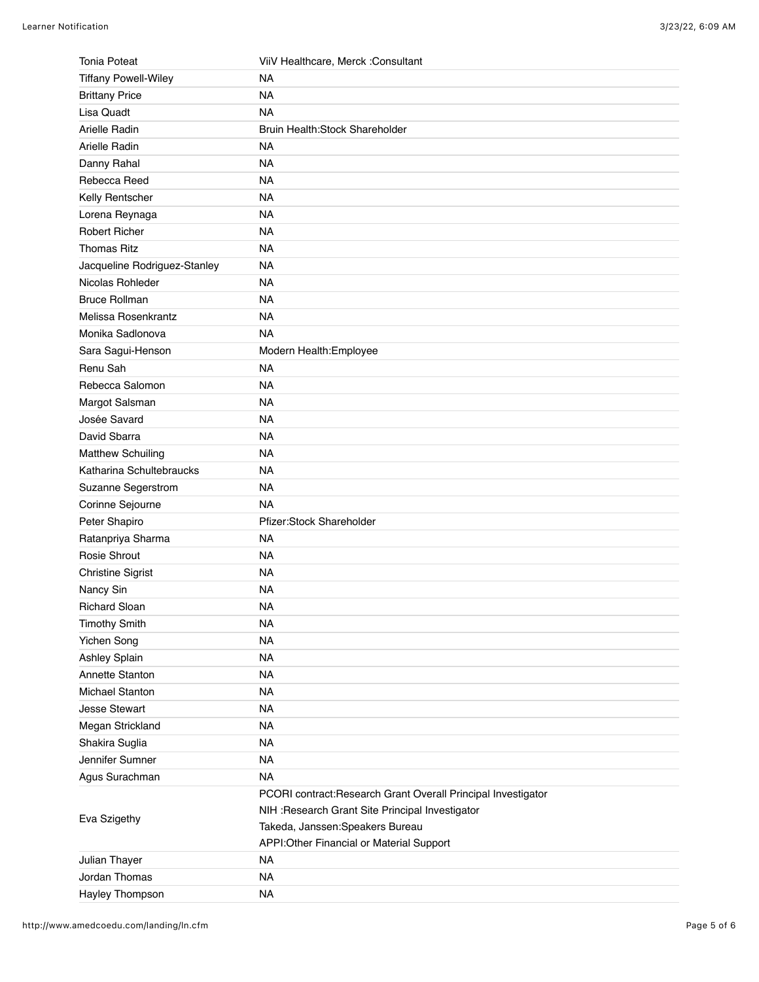| <b>Tonia Poteat</b>          | ViiV Healthcare, Merck : Consultant                           |
|------------------------------|---------------------------------------------------------------|
| <b>Tiffany Powell-Wiley</b>  | <b>NA</b>                                                     |
| <b>Brittany Price</b>        | <b>NA</b>                                                     |
| Lisa Quadt                   | <b>NA</b>                                                     |
| Arielle Radin                | Bruin Health: Stock Shareholder                               |
| Arielle Radin                | <b>NA</b>                                                     |
| Danny Rahal                  | <b>NA</b>                                                     |
| Rebecca Reed                 | <b>NA</b>                                                     |
| Kelly Rentscher              | <b>NA</b>                                                     |
| Lorena Reynaga               | <b>NA</b>                                                     |
| Robert Richer                | <b>NA</b>                                                     |
| <b>Thomas Ritz</b>           | <b>NA</b>                                                     |
| Jacqueline Rodriguez-Stanley | <b>NA</b>                                                     |
| Nicolas Rohleder             | <b>NA</b>                                                     |
| <b>Bruce Rollman</b>         | <b>NA</b>                                                     |
| Melissa Rosenkrantz          | <b>NA</b>                                                     |
| Monika Sadlonova             | <b>NA</b>                                                     |
| Sara Sagui-Henson            | Modern Health: Employee                                       |
| Renu Sah                     | <b>NA</b>                                                     |
| Rebecca Salomon              | <b>NA</b>                                                     |
| Margot Salsman               | <b>NA</b>                                                     |
| Josée Savard                 | <b>NA</b>                                                     |
| David Sbarra                 | <b>NA</b>                                                     |
| <b>Matthew Schuiling</b>     | <b>NA</b>                                                     |
| Katharina Schultebraucks     | <b>NA</b>                                                     |
| Suzanne Segerstrom           | <b>NA</b>                                                     |
| Corinne Sejourne             | <b>NA</b>                                                     |
| Peter Shapiro                | Pfizer:Stock Shareholder                                      |
| Ratanpriya Sharma            | <b>NA</b>                                                     |
| Rosie Shrout                 | <b>NA</b>                                                     |
| <b>Christine Sigrist</b>     | <b>NA</b>                                                     |
| Nancy Sin                    | <b>NA</b>                                                     |
| <b>Richard Sloan</b>         | <b>NA</b>                                                     |
| <b>Timothy Smith</b>         | <b>NA</b>                                                     |
| Yichen Song                  | <b>NA</b>                                                     |
| Ashley Splain                | <b>NA</b>                                                     |
| Annette Stanton              | <b>NA</b>                                                     |
| <b>Michael Stanton</b>       | <b>NA</b>                                                     |
| <b>Jesse Stewart</b>         | <b>NA</b>                                                     |
| Megan Strickland             | <b>NA</b>                                                     |
| Shakira Suglia               | <b>NA</b>                                                     |
| Jennifer Sumner              | <b>NA</b>                                                     |
| Agus Surachman               | <b>NA</b>                                                     |
| Eva Szigethy                 | PCORI contract: Research Grant Overall Principal Investigator |
|                              | NIH : Research Grant Site Principal Investigator              |
|                              | Takeda, Janssen: Speakers Bureau                              |
|                              | APPI: Other Financial or Material Support                     |
| Julian Thayer                | <b>NA</b>                                                     |
| Jordan Thomas                | <b>NA</b>                                                     |
| Hayley Thompson              | <b>NA</b>                                                     |